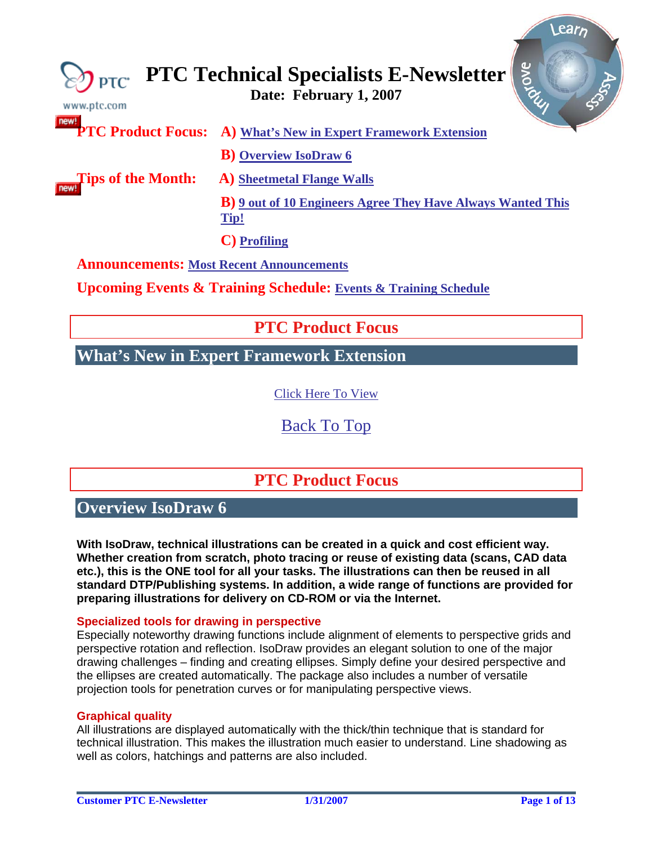<span id="page-0-0"></span>

| www.ptc.com                                     | Arove<br>$\bigotimes_{\mathsf{PTC}}$ PTC Technical Specialists E-Newsletter        |
|-------------------------------------------------|------------------------------------------------------------------------------------|
|                                                 | <b>PTC Product Focus:</b> A) What's New in Expert Framework Extension              |
|                                                 | <b>B</b> ) Overview IsoDraw 6                                                      |
| Tips of the Month:                              | <b>A)</b> Sheetmetal Flange Walls                                                  |
|                                                 | <b>B</b> ) <b>9</b> out of 10 Engineers Agree They Have Always Wanted This<br>Tip! |
|                                                 | C) Profiling                                                                       |
| <b>Announcements: Most Recent Announcements</b> |                                                                                    |

**Upcoming Events & Training Schedule: [Events & Training Schedule](#page-11-0)**

# **PTC Product Focus**

# **What's New in Expert Framework Extension**

[Click Here To View](http://members.shaw.ca/jpeng/newsletter/PTC_Technical_Specialists_E-Newsletter_02-01-2007_desktop.pdf)

[Back To Top](#page-0-0)

# **PTC Product Focus**

**Overview IsoDraw 6** 

**With IsoDraw, technical illustrations can be created in a quick and cost efficient way. Whether creation from scratch, photo tracing or reuse of existing data (scans, CAD data etc.), this is the ONE tool for all your tasks. The illustrations can then be reused in all standard DTP/Publishing systems. In addition, a wide range of functions are provided for preparing illustrations for delivery on CD-ROM or via the Internet.** 

## **Specialized tools for drawing in perspective**

Especially noteworthy drawing functions include alignment of elements to perspective grids and perspective rotation and reflection. IsoDraw provides an elegant solution to one of the major drawing challenges – finding and creating ellipses. Simply define your desired perspective and the ellipses are created automatically. The package also includes a number of versatile projection tools for penetration curves or for manipulating perspective views.

## **Graphical quality**

All illustrations are displayed automatically with the thick/thin technique that is standard for technical illustration. This makes the illustration much easier to understand. Line shadowing as well as colors, hatchings and patterns are also included.

 $\sqrt{P_a^2 + P_b^2}$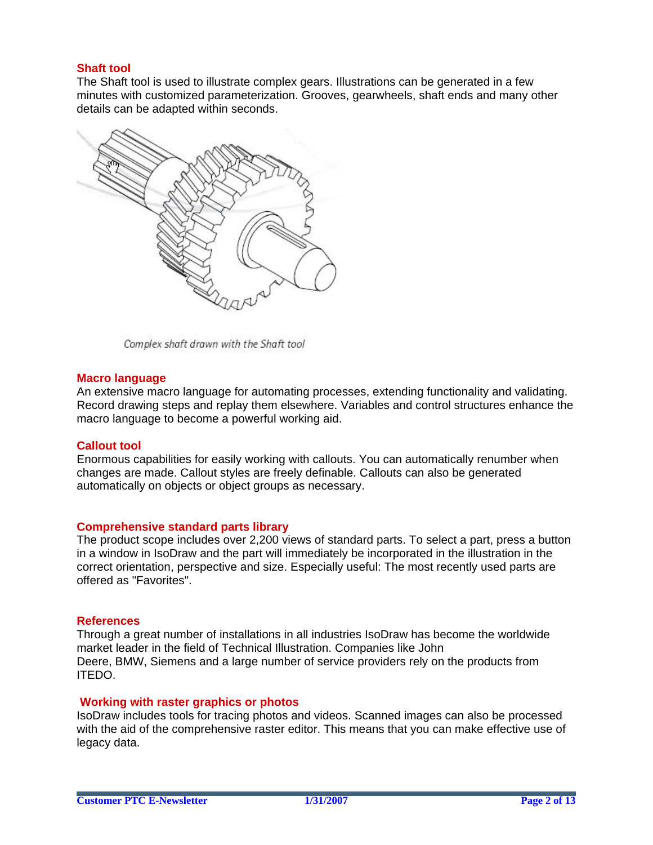## **Shaft tool**

The Shaft tool is used to illustrate complex gears. Illustrations can be generated in a few minutes with customized parameterization. Grooves, gearwheels, shaft ends and many other details can be adapted within seconds.



Complex shaft drawn with the Shaft tool

#### **Macro language**

An extensive macro language for automating processes, extending functionality and validating. Record drawing steps and replay them elsewhere. Variables and control structures enhance the macro language to become a powerful working aid.

### **Callout tool**

Enormous capabilities for easily working with callouts. You can automatically renumber when changes are made. Callout styles are freely definable. Callouts can also be generated automatically on objects or object groups as necessary.

### **Comprehensive standard parts library**

The product scope includes over 2,200 views of standard parts. To select a part, press a button in a window in IsoDraw and the part will immediately be incorporated in the illustration in the correct orientation, perspective and size. Especially useful: The most recently used parts are offered as "Favorites".

#### **References**

Through a great number of installations in all industries IsoDraw has become the worldwide market leader in the field of Technical Illustration. Companies like John Deere, BMW, Siemens and a large number of service providers rely on the products from ITEDO.

#### **Working with raster graphics or photos**

IsoDraw includes tools for tracing photos and videos. Scanned images can also be processed with the aid of the comprehensive raster editor. This means that you can make effective use of legacy data.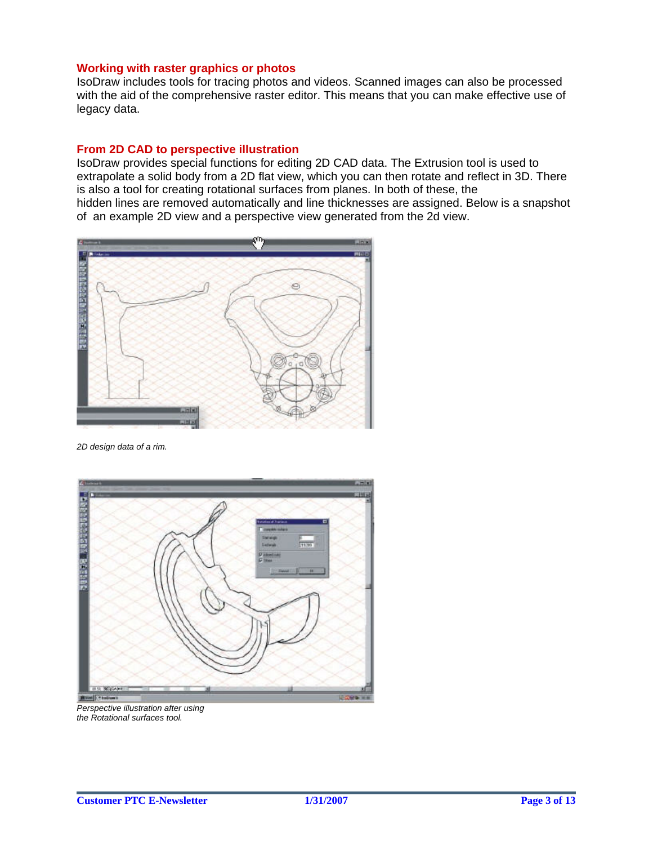#### **Working with raster graphics or photos**

IsoDraw includes tools for tracing photos and videos. Scanned images can also be processed with the aid of the comprehensive raster editor. This means that you can make effective use of legacy data.

### **From 2D CAD to perspective illustration**

IsoDraw provides special functions for editing 2D CAD data. The Extrusion tool is used to extrapolate a solid body from a 2D flat view, which you can then rotate and reflect in 3D. There is also a tool for creating rotational surfaces from planes. In both of these, the hidden lines are removed automatically and line thicknesses are assigned. Below is a snapshot of an example 2D view and a perspective view generated from the 2d view.



*2D design data of a rim.*



*Perspective illustration after using the Rotational surfaces tool.*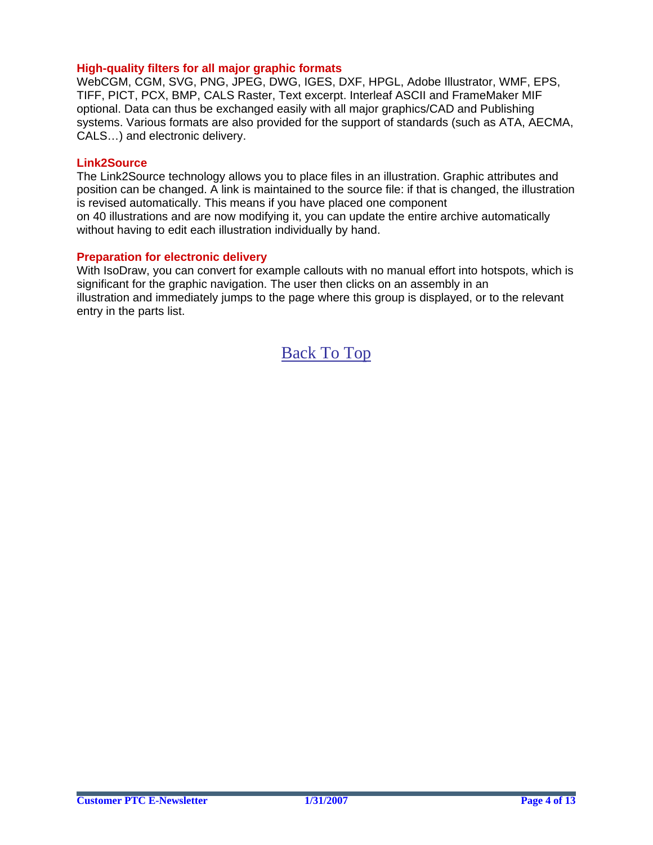### **High-quality filters for all major graphic formats**

WebCGM, CGM, SVG, PNG, JPEG, DWG, IGES, DXF, HPGL, Adobe Illustrator, WMF, EPS, TIFF, PICT, PCX, BMP, CALS Raster, Text excerpt. Interleaf ASCII and FrameMaker MIF optional. Data can thus be exchanged easily with all major graphics/CAD and Publishing systems. Various formats are also provided for the support of standards (such as ATA, AECMA, CALS…) and electronic delivery.

#### **Link2Source**

The Link2Source technology allows you to place files in an illustration. Graphic attributes and position can be changed. A link is maintained to the source file: if that is changed, the illustration is revised automatically. This means if you have placed one component on 40 illustrations and are now modifying it, you can update the entire archive automatically without having to edit each illustration individually by hand.

### **Preparation for electronic delivery**

With IsoDraw, you can convert for example callouts with no manual effort into hotspots, which is significant for the graphic navigation. The user then clicks on an assembly in an illustration and immediately jumps to the page where this group is displayed, or to the relevant entry in the parts list.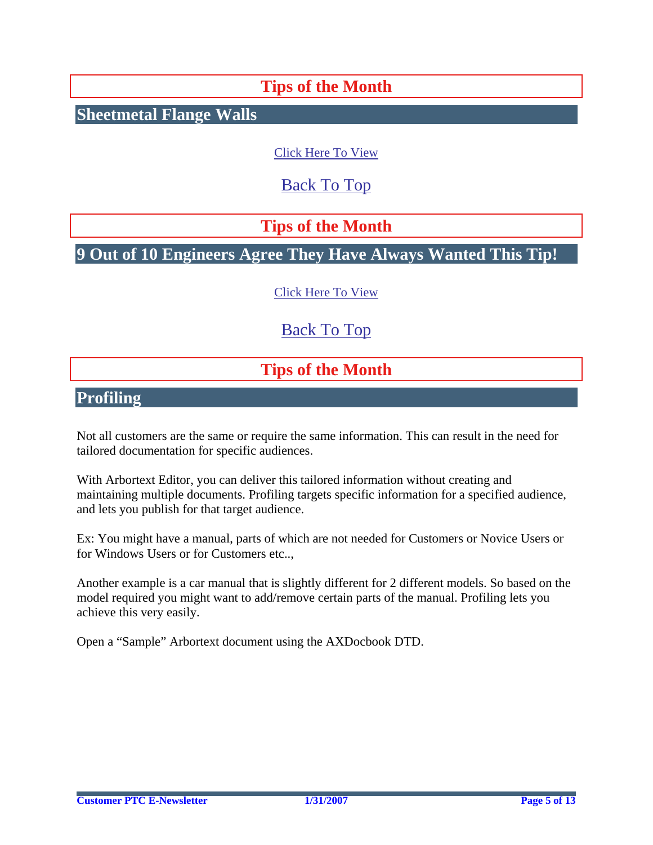# **Tips of the Month**

<span id="page-4-0"></span>**Sheetmetal Flange Walls**

[Click Here To View](http://members.shaw.ca/jpeng/newsletter/PTC_Technical_Specialists_E-Newsletter_02-01-2007_desktop.pdf)

[Back To Top](#page-0-0)

**Tips of the Month** 

**9 Out of 10 Engineers Agree They Have Always Wanted This Tip!**

[Click Here To View](http://members.shaw.ca/jpeng/newsletter/PTC_Technical_Specialists_E-Newsletter_02-01-2007_desktop.pdf)

# [Back To Top](#page-0-0)

# **Tips of the Month**

**Profiling**

Not all customers are the same or require the same information. This can result in the need for tailored documentation for specific audiences.

With Arbortext Editor, you can deliver this tailored information without creating and maintaining multiple documents. Profiling targets specific information for a specified audience, and lets you publish for that target audience.

Ex: You might have a manual, parts of which are not needed for Customers or Novice Users or for Windows Users or for Customers etc..,

Another example is a car manual that is slightly different for 2 different models. So based on the model required you might want to add/remove certain parts of the manual. Profiling lets you achieve this very easily.

Open a "Sample" Arbortext document using the AXDocbook DTD.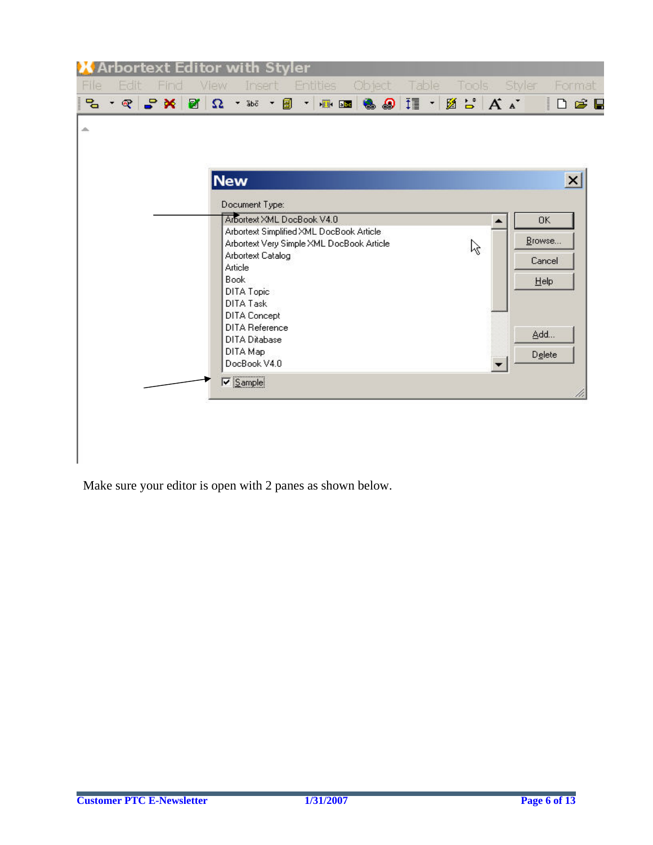| $\begin{array}{c} \n\mathbb{C} \quad \mathbb{C} \quad \mathbb{C} \quad \mathbb{C} \quad \mathbb{R} \quad \mathbb{R} \end{array}$ | $\Omega$ , set , and<br><b>New</b> | $\mathbf{r}$                                                  | <b>THE &amp; @ II + Ø 5 A A</b>                                                                                                                                                                                                  | Dee       |
|----------------------------------------------------------------------------------------------------------------------------------|------------------------------------|---------------------------------------------------------------|----------------------------------------------------------------------------------------------------------------------------------------------------------------------------------------------------------------------------------|-----------|
|                                                                                                                                  |                                    |                                                               |                                                                                                                                                                                                                                  |           |
|                                                                                                                                  |                                    |                                                               |                                                                                                                                                                                                                                  |           |
|                                                                                                                                  |                                    |                                                               |                                                                                                                                                                                                                                  |           |
|                                                                                                                                  |                                    |                                                               |                                                                                                                                                                                                                                  |           |
|                                                                                                                                  |                                    |                                                               |                                                                                                                                                                                                                                  | $\times$  |
|                                                                                                                                  | Document Type:                     |                                                               |                                                                                                                                                                                                                                  |           |
|                                                                                                                                  |                                    |                                                               |                                                                                                                                                                                                                                  | <b>OK</b> |
|                                                                                                                                  |                                    |                                                               |                                                                                                                                                                                                                                  | Browse    |
|                                                                                                                                  |                                    |                                                               |                                                                                                                                                                                                                                  |           |
|                                                                                                                                  |                                    |                                                               |                                                                                                                                                                                                                                  | Cancel    |
|                                                                                                                                  |                                    |                                                               |                                                                                                                                                                                                                                  |           |
|                                                                                                                                  |                                    |                                                               |                                                                                                                                                                                                                                  | Help      |
|                                                                                                                                  |                                    |                                                               |                                                                                                                                                                                                                                  |           |
|                                                                                                                                  |                                    |                                                               |                                                                                                                                                                                                                                  |           |
|                                                                                                                                  |                                    |                                                               |                                                                                                                                                                                                                                  |           |
|                                                                                                                                  |                                    |                                                               |                                                                                                                                                                                                                                  | Add       |
|                                                                                                                                  |                                    |                                                               |                                                                                                                                                                                                                                  |           |
|                                                                                                                                  |                                    |                                                               |                                                                                                                                                                                                                                  | Delete    |
|                                                                                                                                  |                                    | Article<br><b>Book</b><br>DITA Topic<br>DITA Task<br>DITA Map | Arbortext XML DocBook V4.0<br>Arbortext Simplified XML DocBook Article<br>Arbortext Very Simple XML DocBook Article<br><b>Arbortext Catalog</b><br>DITA Concept<br><b>DITA Reference</b><br><b>DITA Ditabase</b><br>DocBook V4.0 | な         |

Make sure your editor is open with 2 panes as shown below.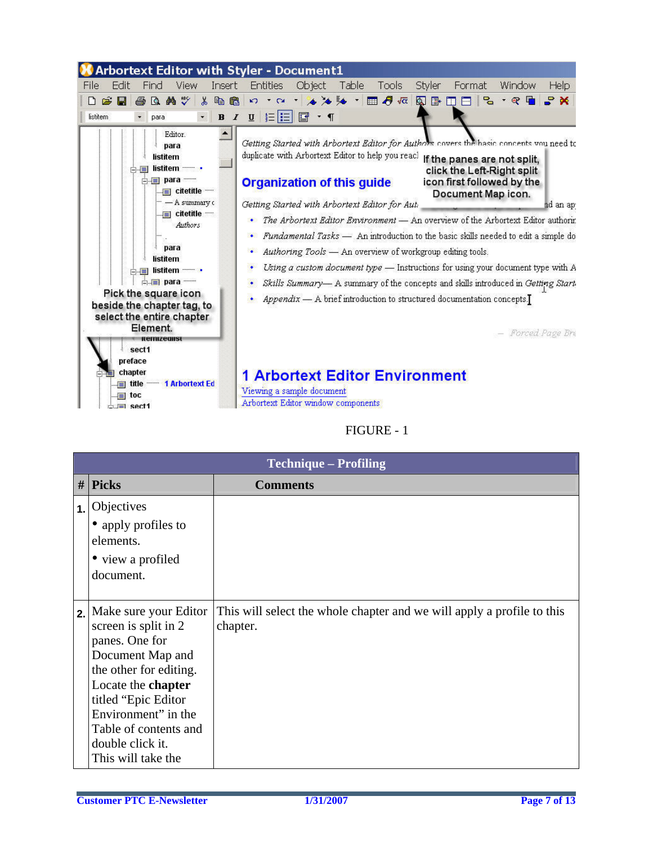

# FIGURE - 1

|    | <b>Technique – Profiling</b>     |                                                                        |
|----|----------------------------------|------------------------------------------------------------------------|
|    | $\#$ Picks                       | <b>Comments</b>                                                        |
| 1. | Objectives                       |                                                                        |
|    | • apply profiles to<br>elements. |                                                                        |
|    | • view a profiled                |                                                                        |
|    | document.                        |                                                                        |
|    |                                  |                                                                        |
| 2. | Make sure your Editor            | This will select the whole chapter and we will apply a profile to this |
|    | screen is split in 2             | chapter.                                                               |
|    | panes. One for                   |                                                                        |
|    | Document Map and                 |                                                                        |
|    | the other for editing.           |                                                                        |
|    | Locate the chapter               |                                                                        |
|    | titled "Epic Editor"             |                                                                        |
|    | Environment" in the              |                                                                        |
|    | Table of contents and            |                                                                        |
|    | double click it.                 |                                                                        |
|    | This will take the               |                                                                        |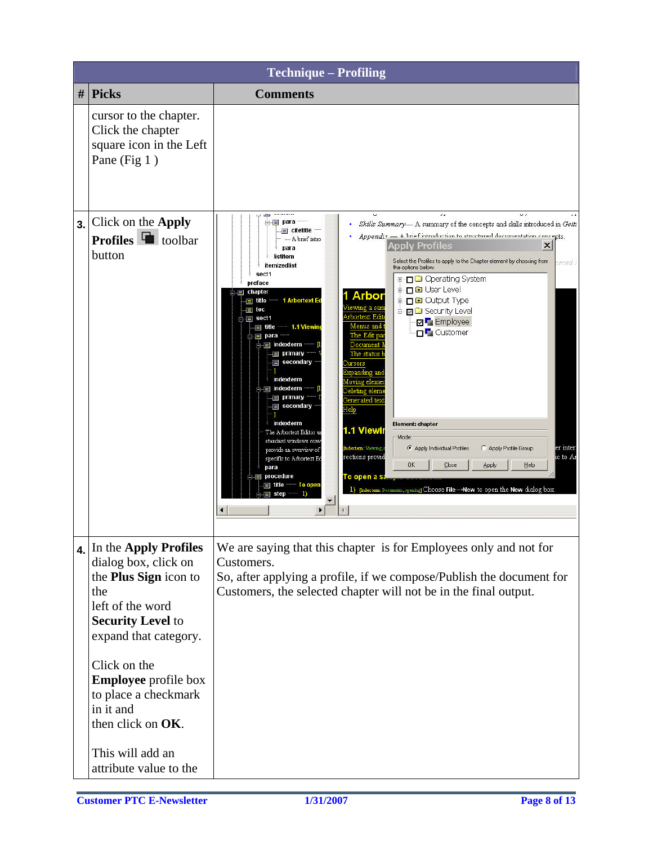|    | <b>Technique - Profiling</b>                                                                                                                                                                                                                                           |                                                                                                                                                                                                                                                                                                                                                                                                                                                                                                                                                                                                                                                                                                                                                                                                                                                                                                                                                                                                                                                                                                                                                                                                                                                                                                                                                                                                                                                                                                                                                                                                       |
|----|------------------------------------------------------------------------------------------------------------------------------------------------------------------------------------------------------------------------------------------------------------------------|-------------------------------------------------------------------------------------------------------------------------------------------------------------------------------------------------------------------------------------------------------------------------------------------------------------------------------------------------------------------------------------------------------------------------------------------------------------------------------------------------------------------------------------------------------------------------------------------------------------------------------------------------------------------------------------------------------------------------------------------------------------------------------------------------------------------------------------------------------------------------------------------------------------------------------------------------------------------------------------------------------------------------------------------------------------------------------------------------------------------------------------------------------------------------------------------------------------------------------------------------------------------------------------------------------------------------------------------------------------------------------------------------------------------------------------------------------------------------------------------------------------------------------------------------------------------------------------------------------|
| #  | <b>Picks</b>                                                                                                                                                                                                                                                           | <b>Comments</b>                                                                                                                                                                                                                                                                                                                                                                                                                                                                                                                                                                                                                                                                                                                                                                                                                                                                                                                                                                                                                                                                                                                                                                                                                                                                                                                                                                                                                                                                                                                                                                                       |
|    | cursor to the chapter.<br>Click the chapter<br>square icon in the Left<br>Pane (Fig 1)                                                                                                                                                                                 |                                                                                                                                                                                                                                                                                                                                                                                                                                                                                                                                                                                                                                                                                                                                                                                                                                                                                                                                                                                                                                                                                                                                                                                                                                                                                                                                                                                                                                                                                                                                                                                                       |
| 3. | Click on the Apply<br><b>Profiles</b> $\blacksquare$ toolbar<br>button                                                                                                                                                                                                 | $\Box$ $\equiv$ para<br>Skills Summary- A summary of the concepts and skills introduced in Getti<br>E citetitle<br>Appendix - A brief introduction to structured documentation concepts.<br>- A brief intro<br><b>Apply Profiles</b><br>$\times$<br>para<br>listitem<br>Select the Profiles to apply to the Chapter element by choosing from<br>rced 1<br>itemizedlist<br>the options below.<br>sect1<br><b>⊞-□□</b> Operating System<br>preface<br><b>E D</b> User Level<br>i chapter<br><b>Arbor</b><br><b>E</b> D Output Type<br><b>1 Arbortext Ed</b><br>$\equiv$ title<br>Tewing a sam<br>$\equiv$ toc<br><b>E- E</b> Security Level<br>Arbortext Edit<br>$\Box \equiv$ sect1<br>Employee<br>Menus and<br>title 1.1 Viewin<br><b>DE</b> Customer<br>The Edit pa<br>$\blacksquare$ para<br>⊟ indexterm<br>Document<br><b>E</b> primary<br>The status <b>1</b><br>secondary<br>ursors<br>xpanding <u>an</u> d<br>indexterm<br>Moving eleme<br>imdexterm<br>Deleting eleme<br><b>I</b> primary<br>Generated text<br>secondary<br>Help<br>indexterm<br>Element: chapter<br>1.1 Viewi<br>The Arbortext Editor us<br>Mode:<br>standard windows conv<br>C Apply Profile Group<br>Indextern: Viewing,<br>Apply Individual Profiles<br>er inter:<br>provide an overview of<br>sections provid<br>ic to Ar<br>specific to Arbortext Ed<br><b>OK</b><br>Close<br>Apply<br>Help<br>рага<br><b>Fig. procedure</b><br>To open a s<br>। title<br>— To open<br>1) [Indextern: Documents, opening] Choose File-New to open the New dialog box.<br>step<br>D<br>▼<br>$\blacktriangleright$<br>$\blacktriangleleft$ |
| 4. | In the Apply Profiles<br>dialog box, click on<br>the <b>Plus Sign</b> icon to<br>the<br>left of the word<br><b>Security Level to</b><br>expand that category.<br>Click on the<br><b>Employee</b> profile box<br>to place a checkmark<br>in it and<br>then click on OK. | We are saying that this chapter is for Employees only and not for<br>Customers.<br>So, after applying a profile, if we compose/Publish the document for<br>Customers, the selected chapter will not be in the final output.                                                                                                                                                                                                                                                                                                                                                                                                                                                                                                                                                                                                                                                                                                                                                                                                                                                                                                                                                                                                                                                                                                                                                                                                                                                                                                                                                                           |
|    | This will add an<br>attribute value to the                                                                                                                                                                                                                             |                                                                                                                                                                                                                                                                                                                                                                                                                                                                                                                                                                                                                                                                                                                                                                                                                                                                                                                                                                                                                                                                                                                                                                                                                                                                                                                                                                                                                                                                                                                                                                                                       |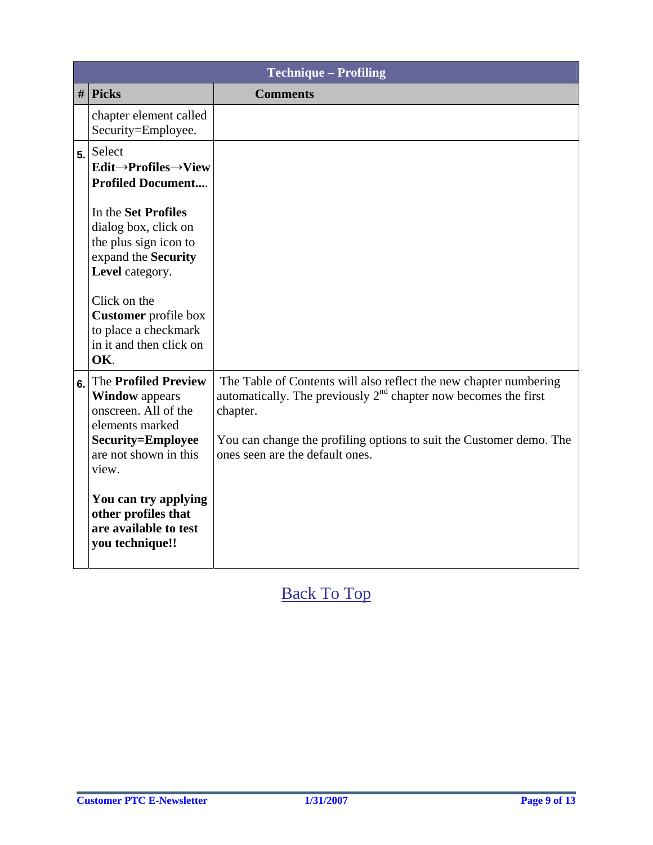|    | <b>Technique - Profiling</b>                                                                                                                         |                                                                                                                                                                                                                                                              |
|----|------------------------------------------------------------------------------------------------------------------------------------------------------|--------------------------------------------------------------------------------------------------------------------------------------------------------------------------------------------------------------------------------------------------------------|
|    | $\#$ Picks                                                                                                                                           | <b>Comments</b>                                                                                                                                                                                                                                              |
|    | chapter element called<br>Security=Employee.                                                                                                         |                                                                                                                                                                                                                                                              |
| 5. | Select<br>$Edit \rightarrow$ Profiles $\rightarrow$ View<br><b>Profiled Document</b>                                                                 |                                                                                                                                                                                                                                                              |
|    | In the Set Profiles<br>dialog box, click on<br>the plus sign icon to<br>expand the Security<br>Level category.                                       |                                                                                                                                                                                                                                                              |
|    | Click on the<br><b>Customer</b> profile box<br>to place a checkmark<br>in it and then click on<br>OK.                                                |                                                                                                                                                                                                                                                              |
| 6. | <b>The Profiled Preview</b><br><b>Window</b> appears<br>onscreen. All of the<br>elements marked<br><b>Security=Employee</b><br>are not shown in this | The Table of Contents will also reflect the new chapter numbering<br>automatically. The previously $2nd$ chapter now becomes the first<br>chapter.<br>You can change the profiling options to suit the Customer demo. The<br>ones seen are the default ones. |
|    | view.<br>You can try applying<br>other profiles that<br>are available to test<br>you technique!!                                                     |                                                                                                                                                                                                                                                              |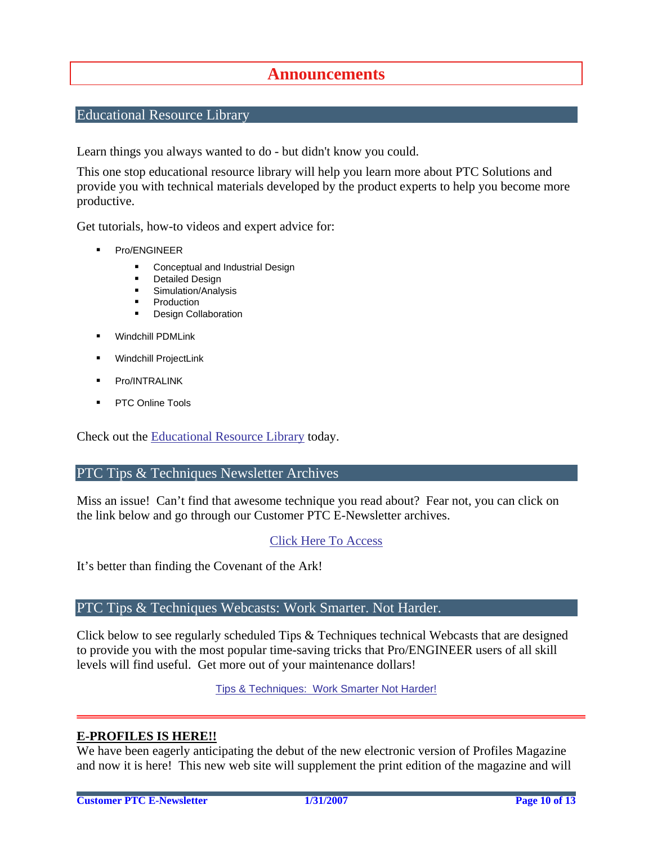# **Announcements**

# <span id="page-9-0"></span>Educational Resource Library

Learn things you always wanted to do - but didn't know you could.

This one stop educational resource library will help you learn more about PTC Solutions and provide you with technical materials developed by the product experts to help you become more productive.

Get tutorials, how-to videos and expert advice for:

- **Pro/ENGINEER** 
	- **EXECONCEPT** Conceptual and Industrial Design
	- **•** Detailed Design
	- **Simulation/Analysis**
	- Production
	- **Design Collaboration**
- Windchill PDMLink
- Windchill ProjectLink
- Pro/INTRALINK
- PTC Online Tools

Check out the [Educational Resource Library](http://www.ptc.com/community/proewf/newtools/tutorials.htm) today.

### PTC Tips & Techniques Newsletter Archives

Miss an issue! Can't find that awesome technique you read about? Fear not, you can click on the link below and go through our Customer PTC E-Newsletter archives.

## [Click Here To Access](http://www.ptc.com/carezone/archive/index.htm)

It's better than finding the Covenant of the Ark!

## PTC Tips & Techniques Webcasts: Work Smarter. Not Harder.

Click below to see regularly scheduled Tips & Techniques technical Webcasts that are designed to provide you with the most popular time-saving tricks that Pro/ENGINEER users of all skill levels will find useful. Get more out of your maintenance dollars!

Tips & Techniques: Work Smarter Not Harder!

## **E-PROFILES IS HERE!!**

We have been eagerly anticipating the debut of the new electronic version of Profiles Magazine and now it is here! This new web site will supplement the print edition of the magazine and will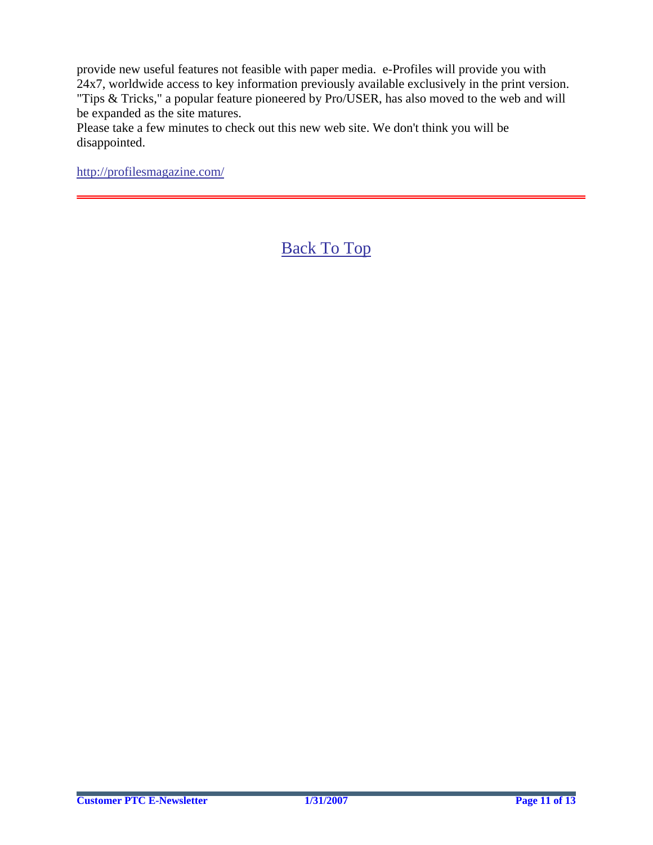provide new useful features not feasible with paper media. e-Profiles will provide you with 24x7, worldwide access to key information previously available exclusively in the print version. "Tips & Tricks," a popular feature pioneered by Pro/USER, has also moved to the web and will be expanded as the site matures.

Please take a few minutes to check out this new web site. We don't think you will be disappointed.

<http://profilesmagazine.com/>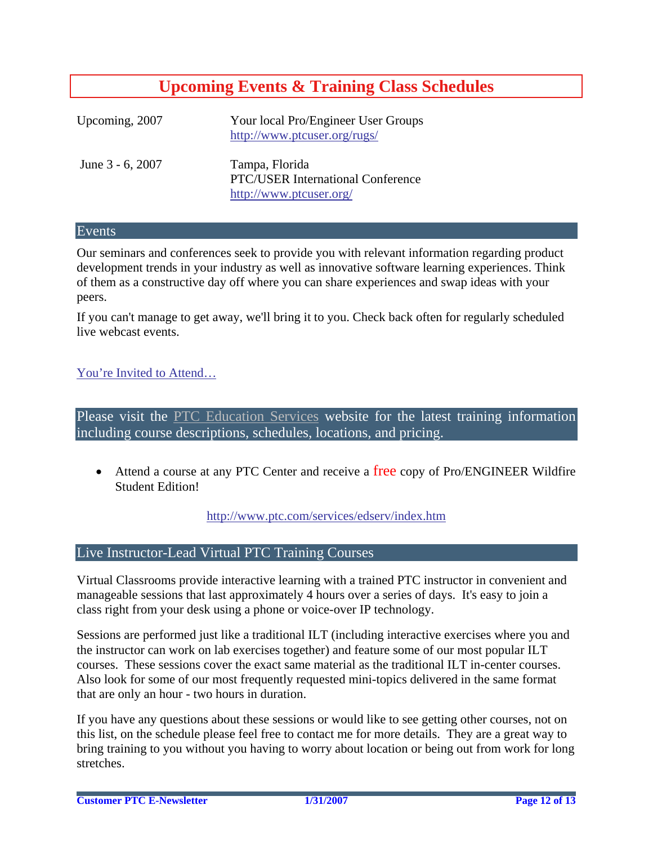# **Upcoming Events & Training Class Schedules**

<span id="page-11-0"></span>

| Upcoming, 2007   | Your local Pro/Engineer User Groups<br>http://www.ptcuser.org/rugs/                   |
|------------------|---------------------------------------------------------------------------------------|
| June 3 - 6, 2007 | Tampa, Florida<br><b>PTC/USER International Conference</b><br>http://www.ptcuser.org/ |

### Events

Our seminars and conferences seek to provide you with relevant information regarding product development trends in your industry as well as innovative software learning experiences. Think of them as a constructive day off where you can share experiences and swap ideas with your peers.

If you can't manage to get away, we'll bring it to you. Check back often for regularly scheduled live webcast events.

# [You're Invited to Attend…](http://www.ptc.com/company/news/events/index.htm)

Please visit the [PTC Education Services](http://www.ptc.com/services/edserv/) website for the latest training information including course descriptions, schedules, locations, and pricing.

• Attend a course at any PTC Center and receive a free copy of Pro/ENGINEER Wildfire Student Edition!

<http://www.ptc.com/services/edserv/index.htm>

## Live Instructor-Lead Virtual PTC Training Courses

Virtual Classrooms provide interactive learning with a trained PTC instructor in convenient and manageable sessions that last approximately 4 hours over a series of days. It's easy to join a class right from your desk using a phone or voice-over IP technology.

Sessions are performed just like a traditional ILT (including interactive exercises where you and the instructor can work on lab exercises together) and feature some of our most popular ILT courses. These sessions cover the exact same material as the traditional ILT in-center courses. Also look for some of our most frequently requested mini-topics delivered in the same format that are only an hour - two hours in duration.

If you have any questions about these sessions or would like to see getting other courses, not on this list, on the schedule please feel free to contact me for more details. They are a great way to bring training to you without you having to worry about location or being out from work for long stretches.